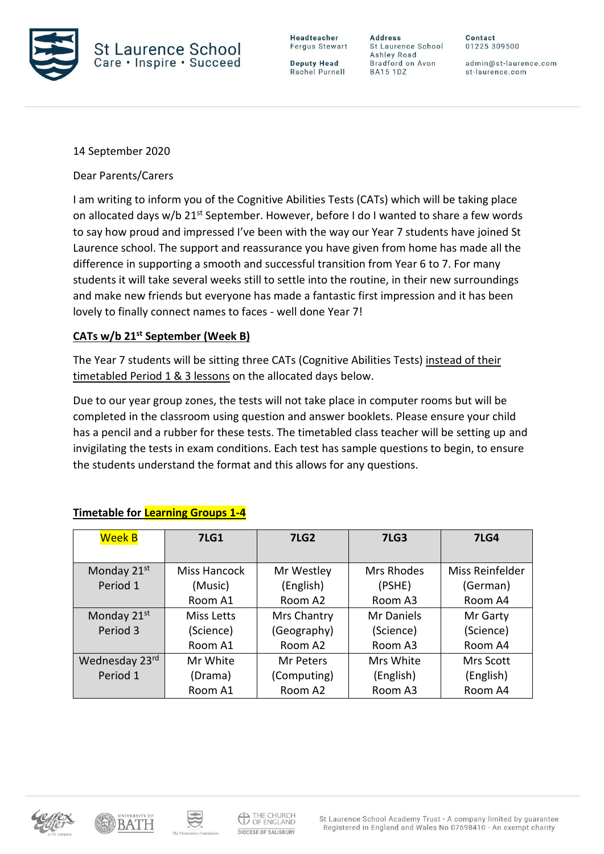

**Deputy Head** Rachel Purnell

**Address** St Laurence School Ashley Road Bradford on Avon **BA15 1DZ** 

Contact 01225 309500

admin@st-laurence.com st-laurence.com

14 September 2020

Dear Parents/Carers

I am writing to inform you of the Cognitive Abilities Tests (CATs) which will be taking place on allocated days w/b 21<sup>st</sup> September. However, before I do I wanted to share a few words to say how proud and impressed I've been with the way our Year 7 students have joined St Laurence school. The support and reassurance you have given from home has made all the difference in supporting a smooth and successful transition from Year 6 to 7. For many students it will take several weeks still to settle into the routine, in their new surroundings and make new friends but everyone has made a fantastic first impression and it has been lovely to finally connect names to faces - well done Year 7!

## **CATs w/b 21st September (Week B)**

The Year 7 students will be sitting three CATs (Cognitive Abilities Tests) instead of their timetabled Period 1 & 3 lessons on the allocated days below.

Due to our year group zones, the tests will not take place in computer rooms but will be completed in the classroom using question and answer booklets. Please ensure your child has a pencil and a rubber for these tests. The timetabled class teacher will be setting up and invigilating the tests in exam conditions. Each test has sample questions to begin, to ensure the students understand the format and this allows for any questions.

| <b>Week B</b>           | <b>7LG1</b>  | <b>7LG2</b> | <b>7LG3</b>       | <b>7LG4</b>      |
|-------------------------|--------------|-------------|-------------------|------------------|
|                         |              |             |                   |                  |
| Monday 21st             | Miss Hancock | Mr Westley  | <b>Mrs Rhodes</b> | Miss Reinfelder  |
| Period 1                | (Music)      | (English)   | (PSHE)            | (German)         |
|                         | Room A1      | Room A2     | Room A3           | Room A4          |
| Monday 21 <sup>st</sup> | Miss Letts   | Mrs Chantry | Mr Daniels        | Mr Garty         |
| Period 3                | (Science)    | (Geography) | (Science)         | (Science)        |
|                         | Room A1      | Room A2     | Room A3           | Room A4          |
| Wednesday 23rd          | Mr White     | Mr Peters   | Mrs White         | <b>Mrs Scott</b> |
| Period 1                | (Drama)      | (Computing) | (English)         | (English)        |
|                         | Room A1      | Room A2     | Room A3           | Room A4          |

## **Timetable for Learning Groups 1-4**